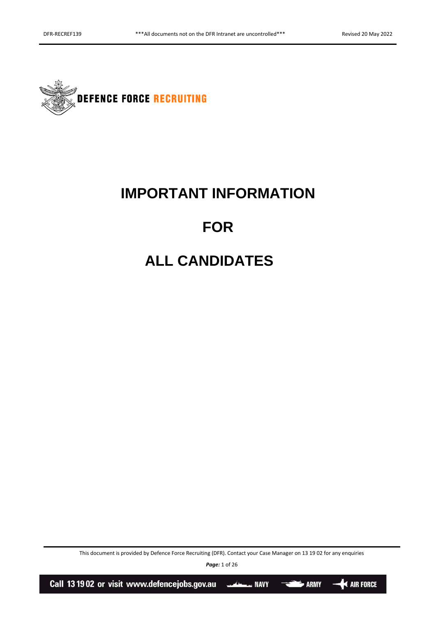

# **IMPORTANT INFORMATION**

# **FOR**

# **ALL CANDIDATES**

This document is provided by Defence Force Recruiting (DFR). Contact your Case Manager on 13 19 02 for any enquiries

*Page:* 1 of 26

Call 13 19 02 or visit www.defencejobs.gov.au **NAVY** المستشفين **E** ARMY **K** AIR FORCE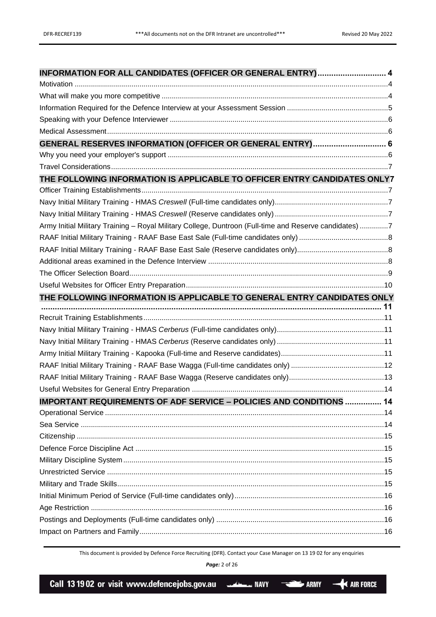| INFORMATION FOR ALL CANDIDATES (OFFICER OR GENERAL ENTRY) 4                                            |  |
|--------------------------------------------------------------------------------------------------------|--|
|                                                                                                        |  |
|                                                                                                        |  |
|                                                                                                        |  |
|                                                                                                        |  |
|                                                                                                        |  |
| GENERAL RESERVES INFORMATION (OFFICER OR GENERAL ENTRY) 6                                              |  |
|                                                                                                        |  |
|                                                                                                        |  |
| THE FOLLOWING INFORMATION IS APPLICABLE TO OFFICER ENTRY CANDIDATES ONLY?                              |  |
|                                                                                                        |  |
|                                                                                                        |  |
|                                                                                                        |  |
| Army Initial Military Training - Royal Military College, Duntroon (Full-time and Reserve candidates) 7 |  |
|                                                                                                        |  |
|                                                                                                        |  |
|                                                                                                        |  |
|                                                                                                        |  |
|                                                                                                        |  |
| THE FOLLOWING INFORMATION IS APPLICABLE TO GENERAL ENTRY CANDIDATES ONLY                               |  |
|                                                                                                        |  |
|                                                                                                        |  |
|                                                                                                        |  |
|                                                                                                        |  |
|                                                                                                        |  |
|                                                                                                        |  |
|                                                                                                        |  |
|                                                                                                        |  |
| <b>IMPORTANT REQUIREMENTS OF ADF SERVICE - POLICIES AND CONDITIONS  14</b>                             |  |
|                                                                                                        |  |
|                                                                                                        |  |
|                                                                                                        |  |
|                                                                                                        |  |
|                                                                                                        |  |
|                                                                                                        |  |
|                                                                                                        |  |
|                                                                                                        |  |
|                                                                                                        |  |
|                                                                                                        |  |
|                                                                                                        |  |

This document is provided by Defence Force Recruiting (DFR). Contact your Case Manager on 13 19 02 for any enquiries



**ARMY** 

 $\overline{\phantom{a}}$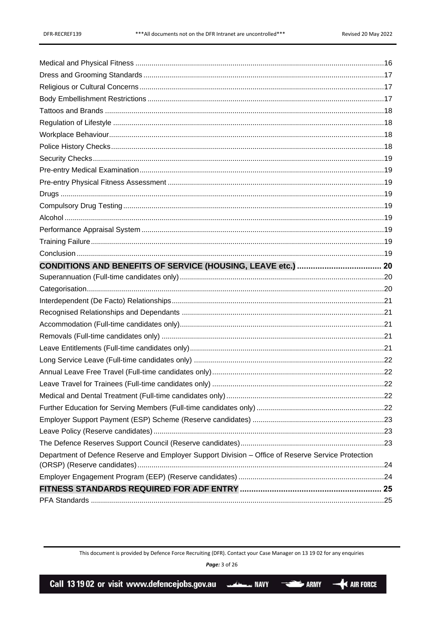| Department of Defence Reserve and Employer Support Division - Office of Reserve Service Protection |  |
|----------------------------------------------------------------------------------------------------|--|
|                                                                                                    |  |
|                                                                                                    |  |
|                                                                                                    |  |
|                                                                                                    |  |

This document is provided by Defence Force Recruiting (DFR). Contact your Case Manager on 13 19 02 for any enquiries



**ARMY** 

 $\overline{\phantom{a}}$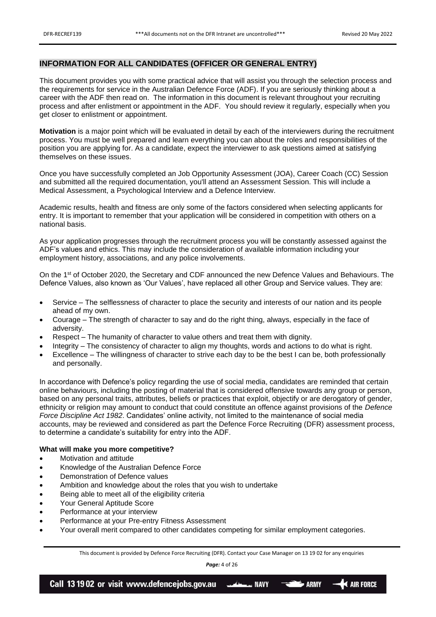# <span id="page-3-0"></span>**INFORMATION FOR ALL CANDIDATES (OFFICER OR GENERAL ENTRY)**

This document provides you with some practical advice that will assist you through the selection process and the requirements for service in the Australian Defence Force (ADF). If you are seriously thinking about a career with the ADF then read on. The information in this document is relevant throughout your recruiting process and after enlistment or appointment in the ADF. You should review it regularly, especially when you get closer to enlistment or appointment.

<span id="page-3-1"></span>**Motivation** is a major point which will be evaluated in detail by each of the interviewers during the recruitment process. You must be well prepared and learn everything you can about the roles and responsibilities of the position you are applying for. As a candidate, expect the interviewer to ask questions aimed at satisfying themselves on these issues.

Once you have successfully completed an Job Opportunity Assessment (JOA), Career Coach (CC) Session and submitted all the required documentation, you'll attend an Assessment Session. This will include a Medical Assessment, a Psychological Interview and a Defence Interview.

Academic results, health and fitness are only some of the factors considered when selecting applicants for entry. It is important to remember that your application will be considered in competition with others on a national basis.

As your application progresses through the recruitment process you will be constantly assessed against the ADF's values and ethics. This may include the consideration of available information including your employment history, associations, and any police involvements.

On the 1st of October 2020, the Secretary and CDF announced the new Defence Values and Behaviours. The Defence Values, also known as 'Our Values', have replaced all other Group and Service values. They are:

- Service The selflessness of character to place the security and interests of our nation and its people ahead of my own.
- Courage The strength of character to say and do the right thing, always, especially in the face of adversity.
- Respect The humanity of character to value others and treat them with dignity.
- Integrity The consistency of character to align my thoughts, words and actions to do what is right.
- Excellence The willingness of character to strive each day to be the best I can be, both professionally and personally.

In accordance with Defence's policy regarding the use of social media, candidates are reminded that certain online behaviours, including the posting of material that is considered offensive towards any group or person, based on any personal traits, attributes, beliefs or practices that exploit, objectify or are derogatory of gender, ethnicity or religion may amount to conduct that could constitute an offence against provisions of the *Defence Force Discipline Act 1982*. Candidates' online activity, not limited to the maintenance of social media accounts, may be reviewed and considered as part the Defence Force Recruiting (DFR) assessment process, to determine a candidate's suitability for entry into the ADF.

# <span id="page-3-2"></span>**What will make you more competitive?**

- Motivation and attitude
- Knowledge of the Australian Defence Force
- Demonstration of Defence values
- Ambition and knowledge about the roles that you wish to undertake
- Being able to meet all of the eligibility criteria
- Your General Aptitude Score
- Performance at your interview
- Performance at your Pre-entry Fitness Assessment
- Your overall merit compared to other candidates competing for similar employment categories.

This document is provided by Defence Force Recruiting (DFR). Contact your Case Manager on 13 19 02 for any enquiries

*Page:* 4 of 26



 $\Rightarrow$  ARMY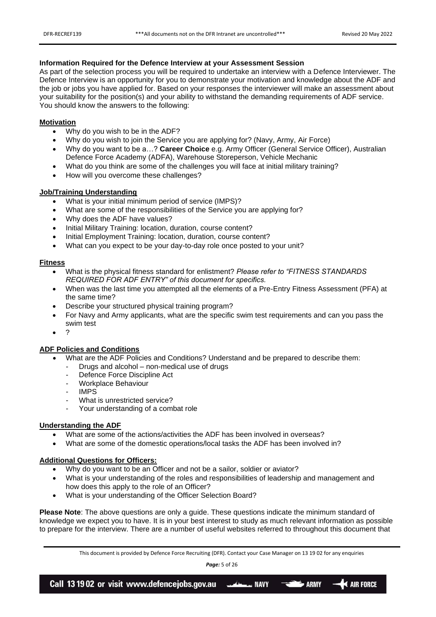# <span id="page-4-0"></span>**Information Required for the Defence Interview at your Assessment Session**

As part of the selection process you will be required to undertake an interview with a Defence Interviewer. The Defence Interview is an opportunity for you to demonstrate your motivation and knowledge about the ADF and the job or jobs you have applied for. Based on your responses the interviewer will make an assessment about your suitability for the position(s) and your ability to withstand the demanding requirements of ADF service. You should know the answers to the following:

# **Motivation**

- Why do you wish to be in the ADF?
- Why do you wish to join the Service you are applying for? (Navy, Army, Air Force)
- Why do you want to be a…? **Career Choice** e.g. Army Officer (General Service Officer), Australian Defence Force Academy (ADFA), Warehouse Storeperson, Vehicle Mechanic
- What do you think are some of the challenges you will face at initial military training?
- How will you overcome these challenges?

# **Job/Training Understanding**

- What is your initial minimum period of service (IMPS)?
- What are some of the responsibilities of the Service you are applying for?
- Why does the ADF have values?
- Initial Military Training: location, duration, course content?
- Initial Employment Training: location, duration, course content?
- What can you expect to be your day-to-day role once posted to your unit?

# **Fitness**

- What is the physical fitness standard for enlistment? *Please refer to "FITNESS STANDARDS REQUIRED FOR ADF ENTRY" of this document for specifics.*
- When was the last time you attempted all the elements of a Pre-Entry Fitness Assessment (PFA) at the same time?
- Describe your structured physical training program?
- For Navy and Army applicants, what are the specific swim test requirements and can you pass the swim test
- ?

# **ADF Policies and Conditions**

- What are the ADF Policies and Conditions? Understand and be prepared to describe them:
	- Drugs and alcohol non-medical use of drugs
	- Defence Force Discipline Act
	- Workplace Behaviour
	- IMPS
	- What is unrestricted service?
	- Your understanding of a combat role

## **Understanding the ADF**

- What are some of the actions/activities the ADF has been involved in overseas?
- What are some of the domestic operations/local tasks the ADF has been involved in?

# **Additional Questions for Officers:**

- Why do you want to be an Officer and not be a sailor, soldier or aviator?
- What is your understanding of the roles and responsibilities of leadership and management and how does this apply to the role of an Officer?
- What is your understanding of the Officer Selection Board?

**Please Note**: The above questions are only a guide. These questions indicate the minimum standard of knowledge we expect you to have. It is in your best interest to study as much relevant information as possible to prepare for the interview. There are a number of useful websites referred to throughout this document that

This document is provided by Defence Force Recruiting (DFR). Contact your Case Manager on 13 19 02 for any enquiries

*Page:* 5 of 26

Call 13 19 02 or visit www.defencejobs.gov.au Julius NAVY

 $\Rightarrow$  ARMY

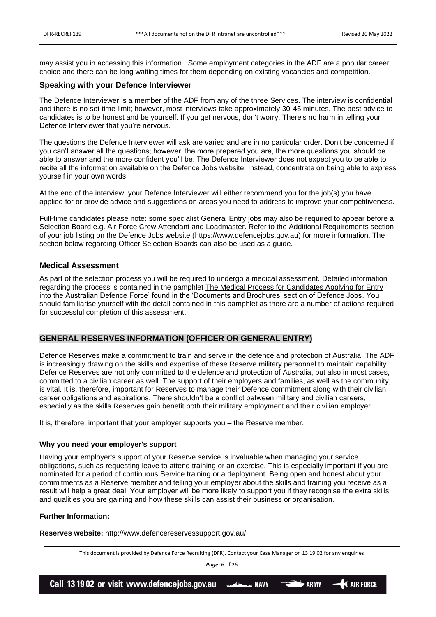**K** AIR FORCE

may assist you in accessing this information. Some employment categories in the ADF are a popular career choice and there can be long waiting times for them depending on existing vacancies and competition.

# <span id="page-5-0"></span>**Speaking with your Defence Interviewer**

The Defence Interviewer is a member of the ADF from any of the three Services. The interview is confidential and there is no set time limit; however, most interviews take approximately 30-45 minutes. The best advice to candidates is to be honest and be yourself. If you get nervous, don't worry. There's no harm in telling your Defence Interviewer that you're nervous.

The questions the Defence Interviewer will ask are varied and are in no particular order. Don't be concerned if you can't answer all the questions; however, the more prepared you are, the more questions you should be able to answer and the more confident you'll be. The Defence Interviewer does not expect you to be able to recite all the information available on the Defence Jobs website. Instead, concentrate on being able to express yourself in your own words.

At the end of the interview, your Defence Interviewer will either recommend you for the job(s) you have applied for or provide advice and suggestions on areas you need to address to improve your competitiveness.

Full-time candidates please note: some specialist General Entry jobs may also be required to appear before a Selection Board e.g. Air Force Crew Attendant and Loadmaster. Refer to the Additional Requirements section of your job listing on the Defence Jobs website [\(https://www.defencejobs.gov.au\)](https://www.defencejobs.gov.au/) for more information. The section below regarding Officer Selection Boards can also be used as a guide.

# <span id="page-5-1"></span>**Medical Assessment**

As part of the selection process you will be required to undergo a medical assessment. Detailed information regarding the process is contained in the pamphlet [The Medical Process for Candidates Applying for Entry](https://www.google.com/url?sa=t&rct=j&q=&esrc=s&source=web&cd=&cad=rja&uact=8&ved=2ahUKEwiEj_yd1LD3AhVXRmwGHZzXATkQFnoECAgQAQ&url=https%3A%2F%2Fwww.defencejobs.gov.au%2F-%2Fmedia%2FDFR%2FFiles%2FDFT_Document_MedicalProcess.pdf%3Fdownload%3Dtrue&usg=AOvVaw24iPY9-Fffrx9Ljfn9Mr_f) into the Australian Defence Force' found in the 'Documents and Brochures' section of Defence Jobs. You should familiarise yourself with the detail contained in this pamphlet as there are a number of actions required for successful completion of this assessment.

# <span id="page-5-2"></span>**GENERAL RESERVES INFORMATION (OFFICER OR GENERAL ENTRY)**

Defence Reserves make a commitment to train and serve in the defence and protection of Australia. The ADF is increasingly drawing on the skills and expertise of these Reserve military personnel to maintain capability. Defence Reserves are not only committed to the defence and protection of Australia, but also in most cases, committed to a civilian career as well. The support of their employers and families, as well as the community, is vital. It is, therefore, important for Reserves to manage their Defence commitment along with their civilian career obligations and aspirations. There shouldn't be a conflict between military and civilian careers, especially as the skills Reserves gain benefit both their military employment and their civilian employer.

It is, therefore, important that your employer supports you – the Reserve member.

# <span id="page-5-3"></span>**Why you need your employer's support**

Having your employer's support of your Reserve service is invaluable when managing your service obligations, such as requesting leave to attend training or an exercise. This is especially important if you are nominated for a period of continuous Service training or a deployment. Being open and honest about your commitments as a Reserve member and telling your employer about the skills and training you receive as a result will help a great deal. Your employer will be more likely to support you if they recognise the extra skills and qualities you are gaining and how these skills can assist their business or organisation.

# **Further Information:**

**Reserves website:** <http://www.defencereservessupport.gov.au/>

This document is provided by Defence Force Recruiting (DFR). Contact your Case Manager on 13 19 02 for any enquiries

```
Page: 6 of 26
```
Call 13 19 02 or visit www.defencejobs.gov.au Julius NAVY  $\Rightarrow$  ARMY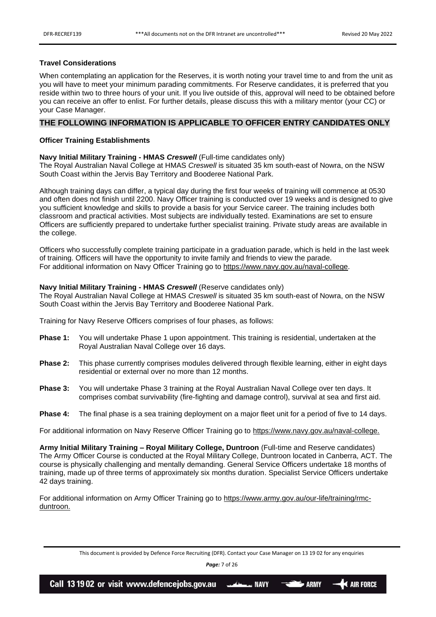# <span id="page-6-0"></span>**Travel Considerations**

When contemplating an application for the Reserves, it is worth noting your travel time to and from the unit as you will have to meet your minimum parading commitments. For Reserve candidates, it is preferred that you reside within two to three hours of your unit. If you live outside of this, approval will need to be obtained before you can receive an offer to enlist. For further details, please discuss this with a military mentor (your CC) or your Case Manager.

# <span id="page-6-1"></span>**THE FOLLOWING INFORMATION IS APPLICABLE TO OFFICER ENTRY CANDIDATES ONLY**

# <span id="page-6-2"></span>**Officer Training Establishments**

# <span id="page-6-3"></span>**Navy Initial Military Training - HMAS** *Creswell* (Full-time candidates only)

The Royal Australian Naval College at HMAS *Creswell* is situated 35 km south-east of Nowra, on the NSW South Coast within the Jervis Bay Territory and Booderee National Park.

Although training days can differ, a typical day during the first four weeks of training will commence at 0530 and often does not finish until 2200. Navy Officer training is conducted over 19 weeks and is designed to give you sufficient knowledge and skills to provide a basis for your Service career. The training includes both classroom and practical activities. Most subjects are individually tested. Examinations are set to ensure Officers are sufficiently prepared to undertake further specialist training. Private study areas are available in the college.

Officers who successfully complete training participate in a graduation parade, which is held in the last week of training. Officers will have the opportunity to invite family and friends to view the parade. For additional information on Navy Officer Training go to [https://www.navy.gov.au/naval-college.](https://www.navy.gov.au/naval-college)

## <span id="page-6-4"></span>**Navy Initial Military Training - HMAS** *Creswell* (Reserve candidates only)

The Royal Australian Naval College at HMAS *Creswell* is situated 35 km south-east of Nowra, on the NSW South Coast within the Jervis Bay Territory and Booderee National Park.

Training for Navy Reserve Officers comprises of four phases, as follows:

- **Phase 1:** You will undertake Phase 1 upon appointment. This training is residential, undertaken at the Royal Australian Naval College over 16 days.
- **Phase 2:** This phase currently comprises modules delivered through flexible learning, either in eight days residential or external over no more than 12 months.
- **Phase 3:** You will undertake Phase 3 training at the Royal Australian Naval College over ten days. It comprises combat survivability (fire-fighting and damage control), survival at sea and first aid.
- **Phase 4:** The final phase is a sea training deployment on a major fleet unit for a period of five to 14 days.

For additional information on Navy Reserve Officer Training go to [https://www.navy.gov.au/naval-college.](https://www.navy.gov.au/naval-college)

<span id="page-6-5"></span>**Army Initial Military Training – Royal Military College, Duntroon** (Full-time and Reserve candidates) The Army Officer Course is conducted at the Royal Military College, Duntroon located in Canberra, ACT. The course is physically challenging and mentally demanding. General Service Officers undertake 18 months of training, made up of three terms of approximately six months duration. Specialist Service Officers undertake 42 days training.

For additional information on Army Officer Training go to [https://www.army.gov.au/our-life/training/rmc](https://www.army.gov.au/our-life/training/rmc-duntroon)[duntroon.](https://www.army.gov.au/our-life/training/rmc-duntroon)

This document is provided by Defence Force Recruiting (DFR). Contact your Case Manager on 13 19 02 for any enquiries

*Page:* 7 of 26

Call 13 19 02 or visit www.defencejobs.gov.au Julius NAVY  $\blacktriangleleft$  AIR FORCE  $\Rightarrow$  ARMY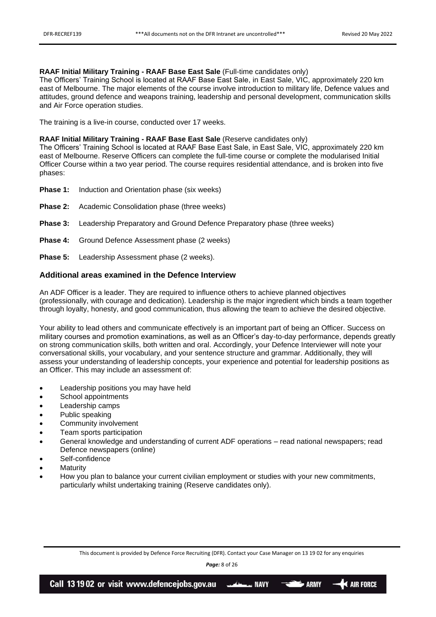# <span id="page-7-0"></span>**RAAF Initial Military Training - RAAF Base East Sale** (Full-time candidates only)

The Officers' Training School is located at RAAF Base East Sale, in East Sale, VIC, approximately 220 km east of Melbourne. The major elements of the course involve introduction to military life, Defence values and attitudes, ground defence and weapons training, leadership and personal development, communication skills and Air Force operation studies.

The training is a live-in course, conducted over 17 weeks.

# <span id="page-7-1"></span>**RAAF Initial Military Training - RAAF Base East Sale** (Reserve candidates only)

The Officers' Training School is located at RAAF Base East Sale, in East Sale, VIC, approximately 220 km east of Melbourne. Reserve Officers can complete the full-time course or complete the modularised Initial Officer Course within a two year period. The course requires residential attendance, and is broken into five phases:

- **Phase 1:** Induction and Orientation phase (six weeks)
- **Phase 2:** Academic Consolidation phase (three weeks)
- **Phase 3:** Leadership Preparatory and Ground Defence Preparatory phase (three weeks)
- **Phase 4:** Ground Defence Assessment phase (2 weeks)
- **Phase 5:** Leadership Assessment phase (2 weeks).

# <span id="page-7-2"></span>**Additional areas examined in the Defence Interview**

An ADF Officer is a leader. They are required to influence others to achieve planned objectives (professionally, with courage and dedication). Leadership is the major ingredient which binds a team together through loyalty, honesty, and good communication, thus allowing the team to achieve the desired objective.

Your ability to lead others and communicate effectively is an important part of being an Officer. Success on military courses and promotion examinations, as well as an Officer's day-to-day performance, depends greatly on strong communication skills, both written and oral. Accordingly, your Defence Interviewer will note your conversational skills, your vocabulary, and your sentence structure and grammar. Additionally, they will assess your understanding of leadership concepts, your experience and potential for leadership positions as an Officer. This may include an assessment of:

- Leadership positions you may have held
- School appointments
- Leadership camps
- Public speaking
- Community involvement
- Team sports participation
- General knowledge and understanding of current ADF operations read national newspapers; read Defence newspapers (online)
- Self-confidence
- **Maturity**
- How you plan to balance your current civilian employment or studies with your new commitments, particularly whilst undertaking training (Reserve candidates only).

This document is provided by Defence Force Recruiting (DFR). Contact your Case Manager on 13 19 02 for any enquiries

*Page:* 8 of 26

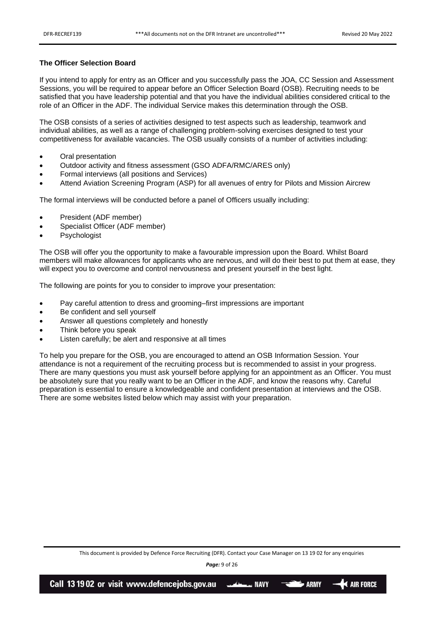# <span id="page-8-0"></span>**The Officer Selection Board**

If you intend to apply for entry as an Officer and you successfully pass the JOA, CC Session and Assessment Sessions, you will be required to appear before an Officer Selection Board (OSB). Recruiting needs to be satisfied that you have leadership potential and that you have the individual abilities considered critical to the role of an Officer in the ADF. The individual Service makes this determination through the OSB.

The OSB consists of a series of activities designed to test aspects such as leadership, teamwork and individual abilities, as well as a range of challenging problem-solving exercises designed to test your competitiveness for available vacancies. The OSB usually consists of a number of activities including:

- Oral presentation
- Outdoor activity and fitness assessment (GSO ADFA/RMC/ARES only)
- Formal interviews (all positions and Services)
- Attend Aviation Screening Program (ASP) for all avenues of entry for Pilots and Mission Aircrew

The formal interviews will be conducted before a panel of Officers usually including:

- President (ADF member)
- Specialist Officer (ADF member)
- **Psychologist**

The OSB will offer you the opportunity to make a favourable impression upon the Board. Whilst Board members will make allowances for applicants who are nervous, and will do their best to put them at ease, they will expect you to overcome and control nervousness and present yourself in the best light.

The following are points for you to consider to improve your presentation:

- Pay careful attention to dress and grooming–first impressions are important
- Be confident and sell yourself
- Answer all questions completely and honestly
- Think before you speak
- Listen carefully; be alert and responsive at all times

To help you prepare for the OSB, you are encouraged to attend an OSB Information Session. Your attendance is not a requirement of the recruiting process but is recommended to assist in your progress. There are many questions you must ask yourself before applying for an appointment as an Officer. You must be absolutely sure that you really want to be an Officer in the ADF, and know the reasons why. Careful preparation is essential to ensure a knowledgeable and confident presentation at interviews and the OSB. There are some websites listed below which may assist with your preparation.

This document is provided by Defence Force Recruiting (DFR). Contact your Case Manager on 13 19 02 for any enquiries

*Page:* 9 of 26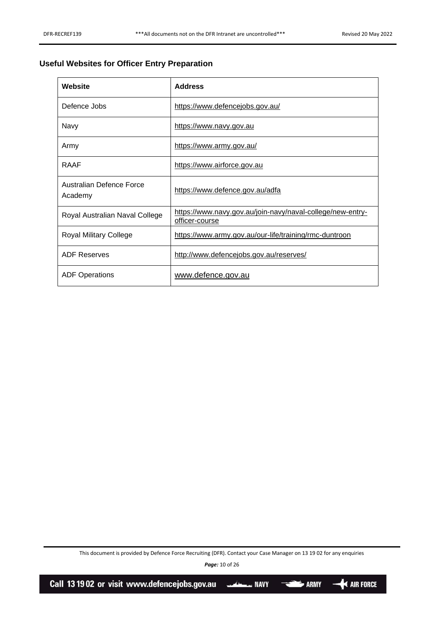# <span id="page-9-0"></span>**Useful Websites for Officer Entry Preparation**

| Website                             | <b>Address</b>                                                               |
|-------------------------------------|------------------------------------------------------------------------------|
| Defence Jobs                        | https://www.defencejobs.gov.au/                                              |
| Navy                                | https://www.navy.gov.au                                                      |
| Army                                | https://www.army.gov.au/                                                     |
| RAAF                                | https://www.airforce.gov.au                                                  |
| Australian Defence Force<br>Academy | https://www.defence.gov.au/adfa                                              |
| Royal Australian Naval College      | https://www.navy.gov.au/join-navy/naval-college/new-entry-<br>officer-course |
| <b>Royal Military College</b>       | https://www.army.gov.au/our-life/training/rmc-duntroon                       |
| <b>ADF Reserves</b>                 | http://www.defencejobs.gov.au/reserves/                                      |
| <b>ADF Operations</b>               | www.defence.gov.au                                                           |

This document is provided by Defence Force Recruiting (DFR). Contact your Case Manager on 13 19 02 for any enquiries

*Page:* 10 of 26

Call 13 19 02 or visit www.defencejobs.gov.au **AIR FORCE ARMY NAVY** المستشفين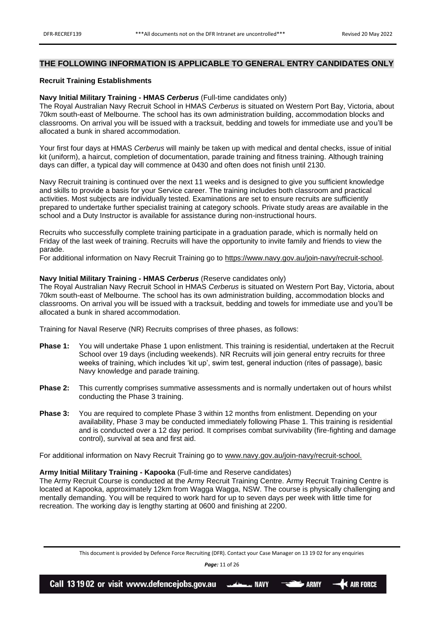# <span id="page-10-0"></span>**THE FOLLOWING INFORMATION IS APPLICABLE TO GENERAL ENTRY CANDIDATES ONLY**

# <span id="page-10-1"></span>**Recruit Training Establishments**

### <span id="page-10-2"></span>**Navy Initial Military Training - HMAS** *Cerberus* (Full-time candidates only)

The Royal Australian Navy Recruit School in HMAS *Cerberus* is situated on Western Port Bay, Victoria, about 70km south-east of Melbourne. The school has its own administration building, accommodation blocks and classrooms. On arrival you will be issued with a tracksuit, bedding and towels for immediate use and you'll be allocated a bunk in shared accommodation.

Your first four days at HMAS *Cerberus* will mainly be taken up with medical and dental checks, issue of initial kit (uniform), a haircut, completion of documentation, parade training and fitness training. Although training days can differ, a typical day will commence at 0430 and often does not finish until 2130.

Navy Recruit training is continued over the next 11 weeks and is designed to give you sufficient knowledge and skills to provide a basis for your Service career. The training includes both classroom and practical activities. Most subjects are individually tested. Examinations are set to ensure recruits are sufficiently prepared to undertake further specialist training at category schools. Private study areas are available in the school and a Duty Instructor is available for assistance during non-instructional hours.

Recruits who successfully complete training participate in a graduation parade, which is normally held on Friday of the last week of training. Recruits will have the opportunity to invite family and friends to view the parade.

For additional information on Navy Recruit Training go to [https://www.navy.gov.au/join-navy/recruit-school.](https://www.navy.gov.au/join-navy/recruit-school)

# <span id="page-10-3"></span>**Navy Initial Military Training - HMAS** *Cerberus* (Reserve candidates only)

The Royal Australian Navy Recruit School in HMAS *Cerberus* is situated on Western Port Bay, Victoria, about 70km south-east of Melbourne. The school has its own administration building, accommodation blocks and classrooms. On arrival you will be issued with a tracksuit, bedding and towels for immediate use and you'll be allocated a bunk in shared accommodation.

Training for Naval Reserve (NR) Recruits comprises of three phases, as follows:

- **Phase 1:** You will undertake Phase 1 upon enlistment. This training is residential, undertaken at the Recruit School over 19 days (including weekends). NR Recruits will join general entry recruits for three weeks of training, which includes 'kit up', swim test, general induction (rites of passage), basic Navy knowledge and parade training.
- **Phase 2:** This currently comprises summative assessments and is normally undertaken out of hours whilst conducting the Phase 3 training.
- **Phase 3:** You are required to complete Phase 3 within 12 months from enlistment. Depending on your availability, Phase 3 may be conducted immediately following Phase 1. This training is residential and is conducted over a 12 day period. It comprises combat survivability (fire-fighting and damage control), survival at sea and first aid.

For additional information on Navy Recruit Training go to [www.navy.gov.au/join-navy/recruit-school.](http://www.navy.gov.au/join-navy/recruit-school)

# <span id="page-10-4"></span>**Army Initial Military Training - Kapooka** (Full-time and Reserve candidates)

The Army Recruit Course is conducted at the Army Recruit Training Centre. Army Recruit Training Centre is located at Kapooka, approximately 12km from Wagga Wagga, NSW. The course is physically challenging and mentally demanding. You will be required to work hard for up to seven days per week with little time for recreation. The working day is lengthy starting at 0600 and finishing at 2200.

This document is provided by Defence Force Recruiting (DFR). Contact your Case Manager on 13 19 02 for any enquiries

*Page:* 11 of 26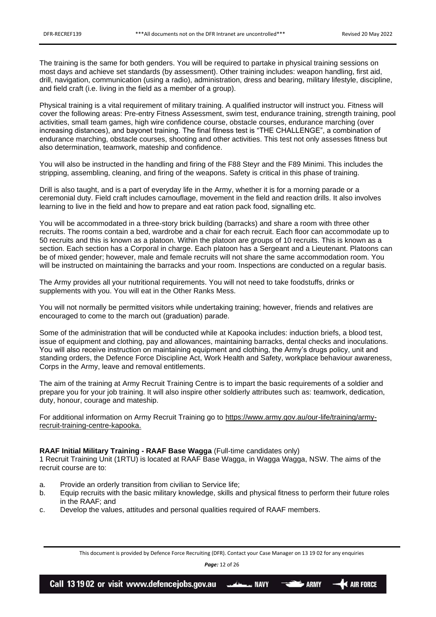The training is the same for both genders. You will be required to partake in physical training sessions on most days and achieve set standards (by assessment). Other training includes: weapon handling, first aid, drill, navigation, communication (using a radio), administration, dress and bearing, military lifestyle, discipline, and field craft (i.e. living in the field as a member of a group).

Physical training is a vital requirement of military training. A qualified instructor will instruct you. Fitness will cover the following areas: Pre-entry Fitness Assessment, swim test, endurance training, strength training, pool activities, small team games, high wire confidence course, obstacle courses, endurance marching (over increasing distances), and bayonet training. The final fitness test is "THE CHALLENGE", a combination of endurance marching, obstacle courses, shooting and other activities. This test not only assesses fitness but also determination, teamwork, mateship and confidence.

You will also be instructed in the handling and firing of the F88 Steyr and the F89 Minimi. This includes the stripping, assembling, cleaning, and firing of the weapons. Safety is critical in this phase of training.

Drill is also taught, and is a part of everyday life in the Army, whether it is for a morning parade or a ceremonial duty. Field craft includes camouflage, movement in the field and reaction drills. It also involves learning to live in the field and how to prepare and eat ration pack food, signalling etc.

You will be accommodated in a three-story brick building (barracks) and share a room with three other recruits. The rooms contain a bed, wardrobe and a chair for each recruit. Each floor can accommodate up to 50 recruits and this is known as a platoon. Within the platoon are groups of 10 recruits. This is known as a section. Each section has a Corporal in charge. Each platoon has a Sergeant and a Lieutenant. Platoons can be of mixed gender; however, male and female recruits will not share the same accommodation room. You will be instructed on maintaining the barracks and your room. Inspections are conducted on a regular basis.

The Army provides all your nutritional requirements. You will not need to take foodstuffs, drinks or supplements with you. You will eat in the Other Ranks Mess.

You will not normally be permitted visitors while undertaking training; however, friends and relatives are encouraged to come to the march out (graduation) parade.

Some of the administration that will be conducted while at Kapooka includes: induction briefs, a blood test, issue of equipment and clothing, pay and allowances, maintaining barracks, dental checks and inoculations. You will also receive instruction on maintaining equipment and clothing, the Army's drugs policy, unit and standing orders, the Defence Force Discipline Act, Work Health and Safety, workplace behaviour awareness, Corps in the Army, leave and removal entitlements.

The aim of the training at Army Recruit Training Centre is to impart the basic requirements of a soldier and prepare you for your job training. It will also inspire other soldierly attributes such as: teamwork, dedication, duty, honour, courage and mateship.

For additional information on Army Recruit Training go to [https://www.army.gov.au/our-life/training/army](https://www.army.gov.au/our-life/training/army-recruit-training-centre-kapooka)[recruit-training-centre-kapooka.](https://www.army.gov.au/our-life/training/army-recruit-training-centre-kapooka)

# <span id="page-11-0"></span>**RAAF Initial Military Training - RAAF Base Wagga** (Full-time candidates only)

1 Recruit Training Unit (1RTU) is located at RAAF Base Wagga, in Wagga Wagga, NSW. The aims of the recruit course are to:

- a. Provide an orderly transition from civilian to Service life;
- b. Equip recruits with the basic military knowledge, skills and physical fitness to perform their future roles in the RAAF; and
- c. Develop the values, attitudes and personal qualities required of RAAF members.

This document is provided by Defence Force Recruiting (DFR). Contact your Case Manager on 13 19 02 for any enquiries

*Page:* 12 of 26

 $\Rightarrow$  ARMY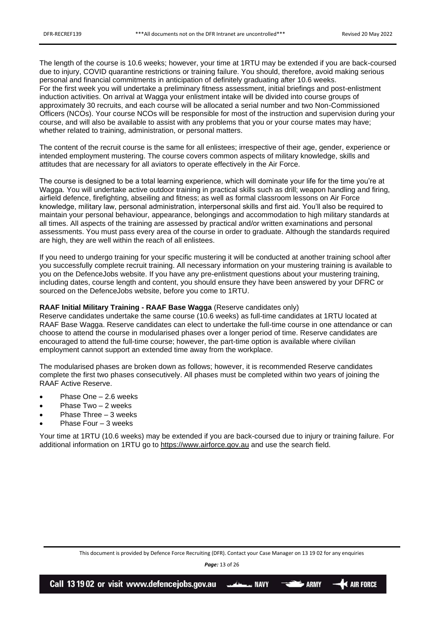The length of the course is 10.6 weeks; however, your time at 1RTU may be extended if you are back-coursed due to injury, COVID quarantine restrictions or training failure. You should, therefore, avoid making serious personal and financial commitments in anticipation of definitely graduating after 10.6 weeks. For the first week you will undertake a preliminary fitness assessment, initial briefings and post-enlistment induction activities. On arrival at Wagga your enlistment intake will be divided into course groups of approximately 30 recruits, and each course will be allocated a serial number and two Non-Commissioned Officers (NCOs). Your course NCOs will be responsible for most of the instruction and supervision during your course, and will also be available to assist with any problems that you or your course mates may have; whether related to training, administration, or personal matters.

The content of the recruit course is the same for all enlistees; irrespective of their age, gender, experience or intended employment mustering. The course covers common aspects of military knowledge, skills and attitudes that are necessary for all aviators to operate effectively in the Air Force.

The course is designed to be a total learning experience, which will dominate your life for the time you're at Wagga. You will undertake active outdoor training in practical skills such as drill; weapon handling and firing, airfield defence, firefighting, abseiling and fitness; as well as formal classroom lessons on Air Force knowledge, military law, personal administration, interpersonal skills and first aid. You'll also be required to maintain your personal behaviour, appearance, belongings and accommodation to high military standards at all times. All aspects of the training are assessed by practical and/or written examinations and personal assessments. You must pass every area of the course in order to graduate. Although the standards required are high, they are well within the reach of all enlistees.

If you need to undergo training for your specific mustering it will be conducted at another training school after you successfully complete recruit training. All necessary information on your mustering training is available to you on the DefenceJobs website. If you have any pre-enlistment questions about your mustering training, including dates, course length and content, you should ensure they have been answered by your DFRC or sourced on the DefenceJobs website, before you come to 1RTU.

# <span id="page-12-0"></span>**RAAF Initial Military Training - RAAF Base Wagga** (Reserve candidates only)

Reserve candidates undertake the same course (10.6 weeks) as full-time candidates at 1RTU located at RAAF Base Wagga. Reserve candidates can elect to undertake the full-time course in one attendance or can choose to attend the course in modularised phases over a longer period of time. Reserve candidates are encouraged to attend the full-time course; however, the part-time option is available where civilian employment cannot support an extended time away from the workplace.

The modularised phases are broken down as follows; however, it is recommended Reserve candidates complete the first two phases consecutively. All phases must be completed within two years of joining the RAAF Active Reserve.

- Phase One 2.6 weeks
- Phase Two 2 weeks
- Phase Three 3 weeks
- Phase Four 3 weeks

Your time at 1RTU (10.6 weeks) may be extended if you are back-coursed due to injury or training failure. For additional information on 1RTU go to [https://www.airforce.gov.au](https://www.airforce.gov.au/) and use the search field.

*Page:* 13 of 26

This document is provided by Defence Force Recruiting (DFR). Contact your Case Manager on 13 19 02 for any enquiries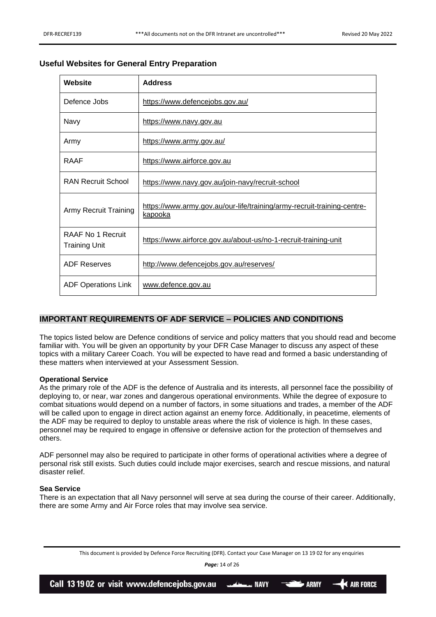# <span id="page-13-0"></span>**Useful Websites for General Entry Preparation**

| Website                                   | <b>Address</b>                                                                            |
|-------------------------------------------|-------------------------------------------------------------------------------------------|
| Defence Jobs                              | https://www.defencejobs.gov.au/                                                           |
| Navy                                      | https://www.navy.gov.au                                                                   |
| Army                                      | https://www.army.gov.au/                                                                  |
| <b>RAAF</b>                               | https://www.airforce.gov.au                                                               |
| <b>RAN Recruit School</b>                 | https://www.navy.gov.au/join-navy/recruit-school                                          |
| <b>Army Recruit Training</b>              | https://www.army.gov.au/our-life/training/army-recruit-training-centre-<br><b>kapooka</b> |
| RAAF No 1 Recruit<br><b>Training Unit</b> | https://www.airforce.gov.au/about-us/no-1-recruit-training-unit                           |
| <b>ADF Reserves</b>                       | http://www.defencejobs.gov.au/reserves/                                                   |
| <b>ADF Operations Link</b>                | www.defence.gov.au                                                                        |

# <span id="page-13-1"></span>**IMPORTANT REQUIREMENTS OF ADF SERVICE – POLICIES AND CONDITIONS**

The topics listed below are Defence conditions of service and policy matters that you should read and become familiar with. You will be given an opportunity by your DFR Case Manager to discuss any aspect of these topics with a military Career Coach. You will be expected to have read and formed a basic understanding of these matters when interviewed at your Assessment Session.

#### <span id="page-13-2"></span>**Operational Service**

As the primary role of the ADF is the defence of Australia and its interests, all personnel face the possibility of deploying to, or near, war zones and dangerous operational environments. While the degree of exposure to combat situations would depend on a number of factors, in some situations and trades, a member of the ADF will be called upon to engage in direct action against an enemy force. Additionally, in peacetime, elements of the ADF may be required to deploy to unstable areas where the risk of violence is high. In these cases, personnel may be required to engage in offensive or defensive action for the protection of themselves and others.

ADF personnel may also be required to participate in other forms of operational activities where a degree of personal risk still exists. Such duties could include major exercises, search and rescue missions, and natural disaster relief.

### <span id="page-13-3"></span>**Sea Service**

There is an expectation that all Navy personnel will serve at sea during the course of their career. Additionally, there are some Army and Air Force roles that may involve sea service.

This document is provided by Defence Force Recruiting (DFR). Contact your Case Manager on 13 19 02 for any enquiries

*Page:* 14 of 26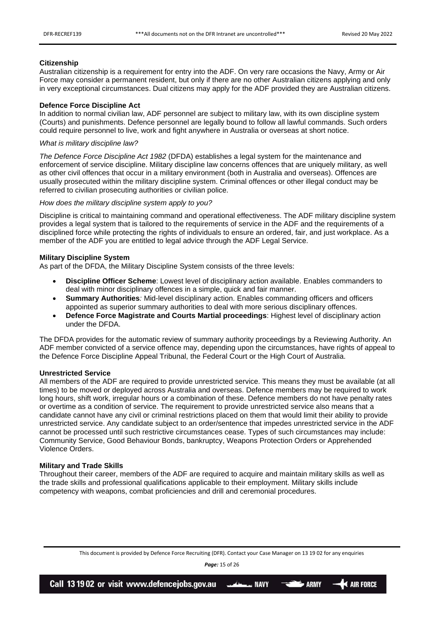# <span id="page-14-0"></span>**Citizenship**

Australian citizenship is a requirement for entry into the ADF. On very rare occasions the Navy, Army or Air Force may consider a permanent resident, but only if there are no other Australian citizens applying and only in very exceptional circumstances. Dual citizens may apply for the ADF provided they are Australian citizens.

# <span id="page-14-1"></span>**Defence Force Discipline Act**

In addition to normal civilian law, ADF personnel are subject to military law, with its own discipline system (Courts) and punishments. Defence personnel are legally bound to follow all lawful commands. Such orders could require personnel to live, work and fight anywhere in Australia or overseas at short notice.

# *What is military discipline law?*

*The Defence Force Discipline Act 1982* (DFDA) establishes a legal system for the maintenance and enforcement of service discipline. Military discipline law concerns offences that are uniquely military, as well as other civil offences that occur in a military environment (both in Australia and overseas). Offences are usually prosecuted within the military discipline system. Criminal offences or other illegal conduct may be referred to civilian prosecuting authorities or civilian police.

# *How does the military discipline system apply to you?*

Discipline is critical to maintaining command and operational effectiveness. The ADF military discipline system provides a legal system that is tailored to the requirements of service in the ADF and the requirements of a disciplined force while protecting the rights of individuals to ensure an ordered, fair, and just workplace. As a member of the ADF you are entitled to legal advice through the ADF Legal Service.

# <span id="page-14-2"></span>**Military Discipline System**

As part of the DFDA, the Military Discipline System consists of the three levels:

- **Discipline Officer Scheme**: Lowest level of disciplinary action available. Enables commanders to deal with minor disciplinary offences in a simple, quick and fair manner.
- **Summary Authorities***:* Mid-level disciplinary action. Enables commanding officers and officers appointed as superior summary authorities to deal with more serious disciplinary offences.
- **Defence Force Magistrate and Courts Martial proceedings**: Highest level of disciplinary action under the DFDA.

The DFDA provides for the automatic review of summary authority proceedings by a Reviewing Authority. An ADF member convicted of a service offence may, depending upon the circumstances, have rights of appeal to the Defence Force Discipline Appeal Tribunal, the Federal Court or the High Court of Australia.

# <span id="page-14-3"></span>**Unrestricted Service**

All members of the ADF are required to provide unrestricted service. This means they must be available (at all times) to be moved or deployed across Australia and overseas. Defence members may be required to work long hours, shift work, irregular hours or a combination of these. Defence members do not have penalty rates or overtime as a condition of service. The requirement to provide unrestricted service also means that a candidate cannot have any civil or criminal restrictions placed on them that would limit their ability to provide unrestricted service. Any candidate subject to an order/sentence that impedes unrestricted service in the ADF cannot be processed until such restrictive circumstances cease. Types of such circumstances may include: Community Service, Good Behaviour Bonds, bankruptcy, Weapons Protection Orders or Apprehended Violence Orders.

# <span id="page-14-4"></span>**Military and Trade Skills**

Throughout their career, members of the ADF are required to acquire and maintain military skills as well as the trade skills and professional qualifications applicable to their employment. Military skills include competency with weapons, combat proficiencies and drill and ceremonial procedures.

This document is provided by Defence Force Recruiting (DFR). Contact your Case Manager on 13 19 02 for any enquiries

*Page:* 15 of 26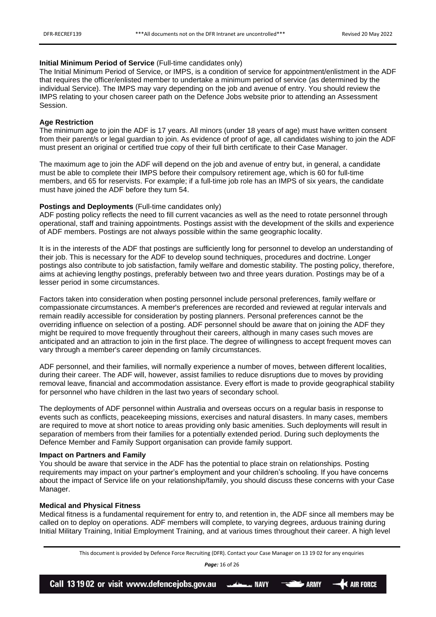# <span id="page-15-0"></span>**Initial Minimum Period of Service** (Full-time candidates only)

The Initial Minimum Period of Service, or IMPS, is a condition of service for appointment/enlistment in the ADF that requires the officer/enlisted member to undertake a minimum period of service (as determined by the individual Service). The IMPS may vary depending on the job and avenue of entry. You should review the IMPS relating to your chosen career path on the Defence Jobs website prior to attending an Assessment Session.

#### <span id="page-15-1"></span>**Age Restriction**

The minimum age to join the ADF is 17 years. All minors (under 18 years of age) must have written consent from their parent/s or legal guardian to join. As evidence of proof of age, all candidates wishing to join the ADF must present an original or certified true copy of their full birth certificate to their Case Manager.

The maximum age to join the ADF will depend on the job and avenue of entry but, in general, a candidate must be able to complete their IMPS before their compulsory retirement age, which is 60 for full-time members, and 65 for reservists. For example; if a full-time job role has an IMPS of six years, the candidate must have joined the ADF before they turn 54.

# <span id="page-15-2"></span>**Postings and Deployments** (Full-time candidates only)

ADF posting policy reflects the need to fill current vacancies as well as the need to rotate personnel through operational, staff and training appointments. Postings assist with the development of the skills and experience of ADF members. Postings are not always possible within the same geographic locality.

It is in the interests of the ADF that postings are sufficiently long for personnel to develop an understanding of their job. This is necessary for the ADF to develop sound techniques, procedures and doctrine. Longer postings also contribute to job satisfaction, family welfare and domestic stability. The posting policy, therefore, aims at achieving lengthy postings, preferably between two and three years duration. Postings may be of a lesser period in some circumstances.

Factors taken into consideration when posting personnel include personal preferences, family welfare or compassionate circumstances. A member's preferences are recorded and reviewed at regular intervals and remain readily accessible for consideration by posting planners. Personal preferences cannot be the overriding influence on selection of a posting. ADF personnel should be aware that on joining the ADF they might be required to move frequently throughout their careers, although in many cases such moves are anticipated and an attraction to join in the first place. The degree of willingness to accept frequent moves can vary through a member's career depending on family circumstances.

ADF personnel, and their families, will normally experience a number of moves, between different localities, during their career. The ADF will, however, assist families to reduce disruptions due to moves by providing removal leave, financial and accommodation assistance. Every effort is made to provide geographical stability for personnel who have children in the last two years of secondary school.

The deployments of ADF personnel within Australia and overseas occurs on a regular basis in response to events such as conflicts, peacekeeping missions, exercises and natural disasters. In many cases, members are required to move at short notice to areas providing only basic amenities. Such deployments will result in separation of members from their families for a potentially extended period. During such deployments the Defence Member and Family Support organisation can provide family support.

# <span id="page-15-3"></span>**Impact on Partners and Family**

You should be aware that service in the ADF has the potential to place strain on relationships. Posting requirements may impact on your partner's employment and your children's schooling. If you have concerns about the impact of Service life on your relationship/family, you should discuss these concerns with your Case Manager.

#### <span id="page-15-4"></span>**Medical and Physical Fitness**

Medical fitness is a fundamental requirement for entry to, and retention in, the ADF since all members may be called on to deploy on operations. ADF members will complete, to varying degrees, arduous training during Initial Military Training, Initial Employment Training, and at various times throughout their career. A high level

*Page:* 16 of 26

This document is provided by Defence Force Recruiting (DFR). Contact your Case Manager on 13 19 02 for any enquiries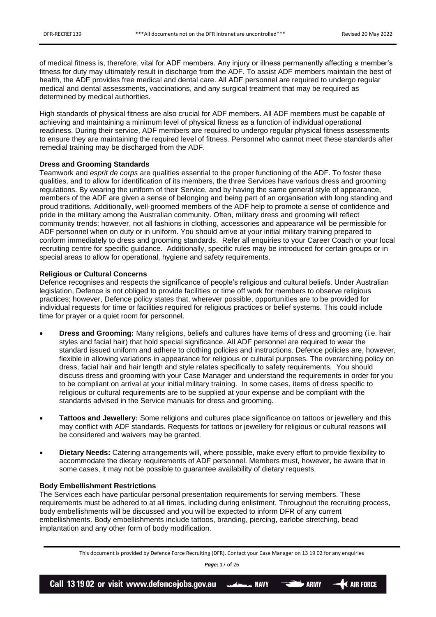of medical fitness is, therefore, vital for ADF members. Any injury or illness permanently affecting a member's fitness for duty may ultimately result in discharge from the ADF. To assist ADF members maintain the best of health, the ADF provides free medical and dental care. All ADF personnel are required to undergo regular medical and dental assessments, vaccinations, and any surgical treatment that may be required as determined by medical authorities.

High standards of physical fitness are also crucial for ADF members. All ADF members must be capable of achieving and maintaining a minimum level of physical fitness as a function of individual operational readiness. During their service, ADF members are required to undergo regular physical fitness assessments to ensure they are maintaining the required level of fitness. Personnel who cannot meet these standards after remedial training may be discharged from the ADF.

# <span id="page-16-0"></span>**Dress and Grooming Standards**

Teamwork and *esprit de corps* are qualities essential to the proper functioning of the ADF. To foster these qualities, and to allow for identification of its members, the three Services have various dress and grooming regulations. By wearing the uniform of their Service, and by having the same general style of appearance, members of the ADF are given a sense of belonging and being part of an organisation with long standing and proud traditions. Additionally, well-groomed members of the ADF help to promote a sense of confidence and pride in the military among the Australian community. Often, military dress and grooming will reflect community trends; however, not all fashions in clothing, accessories and appearance will be permissible for ADF personnel when on duty or in uniform. You should arrive at your initial military training prepared to conform immediately to dress and grooming standards. Refer all enquiries to your Career Coach or your local recruiting centre for specific guidance. Additionally, specific rules may be introduced for certain groups or in special areas to allow for operational, hygiene and safety requirements.

# <span id="page-16-1"></span>**Religious or Cultural Concerns**

Defence recognises and respects the significance of people's religious and cultural beliefs. Under Australian legislation, Defence is not obliged to provide facilities or time off work for members to observe religious practices; however, Defence policy states that, wherever possible, opportunities are to be provided for individual requests for time or facilities required for religious practices or belief systems. This could include time for prayer or a quiet room for personnel.

- **Dress and Grooming:** Many religions, beliefs and cultures have items of dress and grooming (i.e. hair styles and facial hair) that hold special significance. All ADF personnel are required to wear the standard issued uniform and adhere to clothing policies and instructions. Defence policies are, however, flexible in allowing variations in appearance for religious or cultural purposes. The overarching policy on dress, facial hair and hair length and style relates specifically to safety requirements. You should discuss dress and grooming with your Case Manager and understand the requirements in order for you to be compliant on arrival at your initial military training. In some cases, items of dress specific to religious or cultural requirements are to be supplied at your expense and be compliant with the standards advised in the Service manuals for dress and grooming.
- **Tattoos and Jewellery:** Some religions and cultures place significance on tattoos or jewellery and this may conflict with ADF standards. Requests for tattoos or jewellery for religious or cultural reasons will be considered and waivers may be granted.
- **Dietary Needs:** Catering arrangements will, where possible, make every effort to provide flexibility to accommodate the dietary requirements of ADF personnel. Members must, however, be aware that in some cases, it may not be possible to guarantee availability of dietary requests.

# <span id="page-16-2"></span>**Body Embellishment Restrictions**

The Services each have particular personal presentation requirements for serving members. These requirements must be adhered to at all times, including during enlistment. Throughout the recruiting process, body embellishments will be discussed and you will be expected to inform DFR of any current embellishments. Body embellishments include tattoos, branding, piercing, earlobe stretching, bead implantation and any other form of body modification.

This document is provided by Defence Force Recruiting (DFR). Contact your Case Manager on 13 19 02 for any enquiries

*Page:* 17 of 26

Call 13 19 02 or visit www.defencejobs.gov.au \_\_\_\_\_\_\_ NAVY **AIR FORCE**  $\rightarrow$  ARMY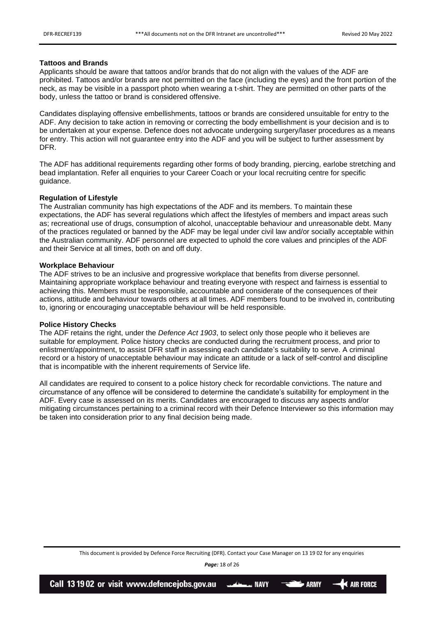# <span id="page-17-0"></span>**Tattoos and Brands**

Applicants should be aware that tattoos and/or brands that do not align with the values of the ADF are prohibited. Tattoos and/or brands are not permitted on the face (including the eyes) and the front portion of the neck, as may be visible in a passport photo when wearing a t-shirt. They are permitted on other parts of the body, unless the tattoo or brand is considered offensive.

Candidates displaying offensive embellishments, tattoos or brands are considered unsuitable for entry to the ADF. Any decision to take action in removing or correcting the body embellishment is your decision and is to be undertaken at your expense. Defence does not advocate undergoing surgery/laser procedures as a means for entry. This action will not guarantee entry into the ADF and you will be subject to further assessment by DFR.

The ADF has additional requirements regarding other forms of body branding, piercing, earlobe stretching and bead implantation. Refer all enquiries to your Career Coach or your local recruiting centre for specific guidance.

## <span id="page-17-1"></span>**Regulation of Lifestyle**

The Australian community has high expectations of the ADF and its members. To maintain these expectations, the ADF has several regulations which affect the lifestyles of members and impact areas such as; recreational use of drugs, consumption of alcohol, unacceptable behaviour and unreasonable debt. Many of the practices regulated or banned by the ADF may be legal under civil law and/or socially acceptable within the Australian community. ADF personnel are expected to uphold the core values and principles of the ADF and their Service at all times, both on and off duty.

# <span id="page-17-2"></span>**Workplace Behaviour**

The ADF strives to be an inclusive and progressive workplace that benefits from diverse personnel. Maintaining appropriate workplace behaviour and treating everyone with respect and fairness is essential to achieving this. Members must be responsible, accountable and considerate of the consequences of their actions, attitude and behaviour towards others at all times. ADF members found to be involved in, contributing to, ignoring or encouraging unacceptable behaviour will be held responsible.

# <span id="page-17-3"></span>**Police History Checks**

The ADF retains the right, under the *Defence Act 1903*, to select only those people who it believes are suitable for employment. Police history checks are conducted during the recruitment process, and prior to enlistment/appointment, to assist DFR staff in assessing each candidate's suitability to serve. A criminal record or a history of unacceptable behaviour may indicate an attitude or a lack of self-control and discipline that is incompatible with the inherent requirements of Service life.

All candidates are required to consent to a police history check for recordable convictions. The nature and circumstance of any offence will be considered to determine the candidate's suitability for employment in the ADF. Every case is assessed on its merits. Candidates are encouraged to discuss any aspects and/or mitigating circumstances pertaining to a criminal record with their Defence Interviewer so this information may be taken into consideration prior to any final decision being made.

This document is provided by Defence Force Recruiting (DFR). Contact your Case Manager on 13 19 02 for any enquiries

*Page:* 18 of 26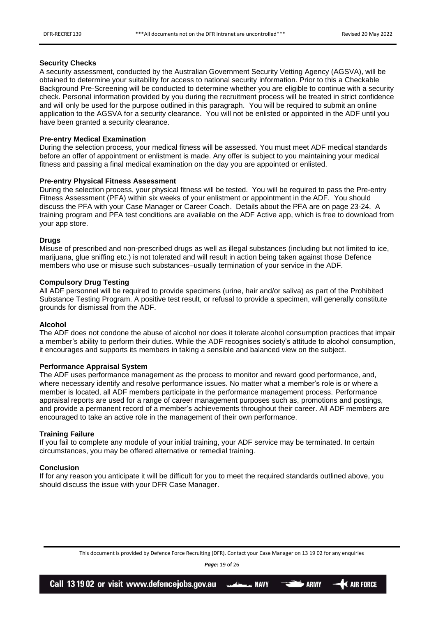## <span id="page-18-0"></span>**Security Checks**

A security assessment, conducted by the Australian Government Security Vetting Agency (AGSVA), will be obtained to determine your suitability for access to national security information. Prior to this a Checkable Background Pre-Screening will be conducted to determine whether you are eligible to continue with a security check. Personal information provided by you during the recruitment process will be treated in strict confidence and will only be used for the purpose outlined in this paragraph. You will be required to submit an online application to the AGSVA for a security clearance. You will not be enlisted or appointed in the ADF until you have been granted a security clearance.

# <span id="page-18-1"></span>**Pre-entry Medical Examination**

During the selection process, your medical fitness will be assessed. You must meet ADF medical standards before an offer of appointment or enlistment is made. Any offer is subject to you maintaining your medical fitness and passing a final medical examination on the day you are appointed or enlisted.

# <span id="page-18-2"></span>**Pre-entry Physical Fitness Assessment**

During the selection process, your physical fitness will be tested. You will be required to pass the Pre-entry Fitness Assessment (PFA) within six weeks of your enlistment or appointment in the ADF. You should discuss the PFA with your Case Manager or Career Coach. Details about the PFA are on page 23-24. A training program and PFA test conditions are available on the ADF Active app, which is free to download from your app store.

## <span id="page-18-3"></span>**Drugs**

Misuse of prescribed and non-prescribed drugs as well as illegal substances (including but not limited to ice, marijuana, glue sniffing etc.) is not tolerated and will result in action being taken against those Defence members who use or misuse such substances–usually termination of your service in the ADF.

# <span id="page-18-4"></span>**Compulsory Drug Testing**

All ADF personnel will be required to provide specimens (urine, hair and/or saliva) as part of the Prohibited Substance Testing Program. A positive test result, or refusal to provide a specimen, will generally constitute grounds for dismissal from the ADF.

# <span id="page-18-5"></span>**Alcohol**

The ADF does not condone the abuse of alcohol nor does it tolerate alcohol consumption practices that impair a member's ability to perform their duties. While the ADF recognises society's attitude to alcohol consumption, it encourages and supports its members in taking a sensible and balanced view on the subject.

# <span id="page-18-6"></span>**Performance Appraisal System**

The ADF uses performance management as the process to monitor and reward good performance, and, where necessary identify and resolve performance issues. No matter what a member's role is or where a member is located, all ADF members participate in the performance management process. Performance appraisal reports are used for a range of career management purposes such as, promotions and postings, and provide a permanent record of a member's achievements throughout their career. All ADF members are encouraged to take an active role in the management of their own performance.

## <span id="page-18-7"></span>**Training Failure**

If you fail to complete any module of your initial training, your ADF service may be terminated. In certain circumstances, you may be offered alternative or remedial training.

## <span id="page-18-8"></span>**Conclusion**

If for any reason you anticipate it will be difficult for you to meet the required standards outlined above, you should discuss the issue with your DFR Case Manager.

This document is provided by Defence Force Recruiting (DFR). Contact your Case Manager on 13 19 02 for any enquiries

*Page:* 19 of 26

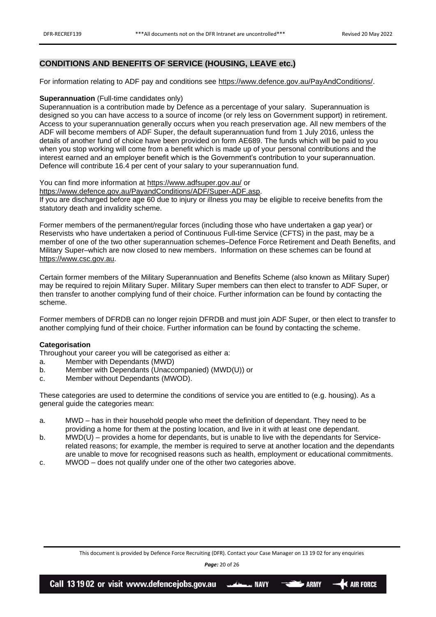# <span id="page-19-0"></span>**CONDITIONS AND BENEFITS OF SERVICE (HOUSING, LEAVE etc.)**

For information relating to ADF pay and conditions see [https://www.defence.gov.au/PayAndConditions/.](https://www.defence.gov.au/PayAndConditions/)

#### <span id="page-19-1"></span>**Superannuation** (Full-time candidates only)

Superannuation is a contribution made by Defence as a percentage of your salary. Superannuation is designed so you can have access to a source of income (or rely less on Government support) in retirement. Access to your superannuation generally occurs when you reach preservation age. All new members of the ADF will become members of ADF Super, the default superannuation fund from 1 July 2016, unless the details of another fund of choice have been provided on form AE689. The funds which will be paid to you when you stop working will come from a benefit which is made up of your personal contributions and the interest earned and an employer benefit which is the Government's contribution to your superannuation. Defence will contribute 16.4 per cent of your salary to your superannuation fund.

You can find more information at<https://www.adfsuper.gov.au/> or

[https://www.defence.gov.au/PayandConditions/ADF/Super-ADF.asp.](https://www.defence.gov.au/PayandConditions/ADF/Super-ADF.asp)

If you are discharged before age 60 due to injury or illness you may be eligible to receive benefits from the statutory death and invalidity scheme.

Former members of the permanent/regular forces (including those who have undertaken a gap year) or Reservists who have undertaken a period of Continuous Full-time Service (CFTS) in the past, may be a member of one of the two other superannuation schemes–Defence Force Retirement and Death Benefits, and Military Super–which are now closed to new members. Information on these schemes can be found at [https://www.csc.gov.au.](https://www.csc.gov.au/)

Certain former members of the Military Superannuation and Benefits Scheme (also known as Military Super) may be required to rejoin Military Super. Military Super members can then elect to transfer to ADF Super, or then transfer to another complying fund of their choice. Further information can be found by contacting the scheme.

Former members of DFRDB can no longer rejoin DFRDB and must join ADF Super, or then elect to transfer to another complying fund of their choice. Further information can be found by contacting the scheme.

#### <span id="page-19-2"></span>**Categorisation**

Throughout your career you will be categorised as either a:

- a. Member with Dependants (MWD)
- b. Member with Dependants (Unaccompanied) (MWD(U)) or
- c. Member without Dependants (MWOD).

These categories are used to determine the conditions of service you are entitled to (e.g. housing). As a general guide the categories mean:

- a. MWD has in their household people who meet the definition of dependant. They need to be providing a home for them at the posting location, and live in it with at least one dependant.
- b. MWD(U) provides a home for dependants, but is unable to live with the dependants for Servicerelated reasons; for example, the member is required to serve at another location and the dependants are unable to move for recognised reasons such as health, employment or educational commitments.
- c. MWOD does not qualify under one of the other two categories above.

This document is provided by Defence Force Recruiting (DFR). Contact your Case Manager on 13 19 02 for any enquiries

*Page:* 20 of 26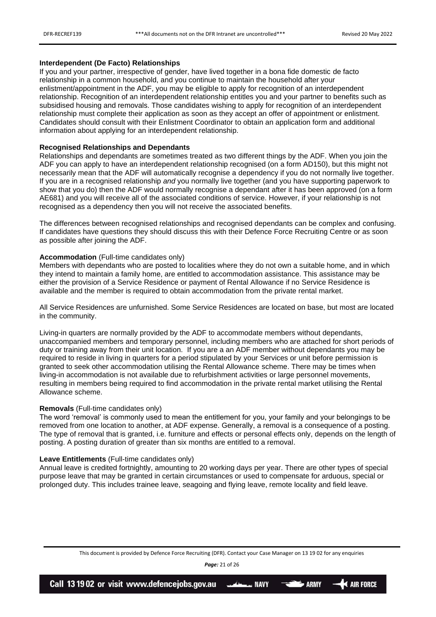# <span id="page-20-0"></span>**Interdependent (De Facto) Relationships**

If you and your partner, irrespective of gender, have lived together in a bona fide domestic de facto relationship in a common household, and you continue to maintain the household after your enlistment/appointment in the ADF, you may be eligible to apply for recognition of an interdependent relationship. Recognition of an interdependent relationship entitles you and your partner to benefits such as subsidised housing and removals. Those candidates wishing to apply for recognition of an interdependent relationship must complete their application as soon as they accept an offer of appointment or enlistment. Candidates should consult with their Enlistment Coordinator to obtain an application form and additional information about applying for an interdependent relationship.

# <span id="page-20-1"></span>**Recognised Relationships and Dependants**

Relationships and dependants are sometimes treated as two different things by the ADF. When you join the ADF you can apply to have an interdependent relationship recognised (on a form AD150), but this might not necessarily mean that the ADF will automatically recognise a dependency if you do not normally live together. If you are in a recognised relationship *and* you normally live together (and you have supporting paperwork to show that you do) then the ADF would normally recognise a dependant after it has been approved (on a form AE681) and you will receive all of the associated conditions of service. However, if your relationship is not recognised as a dependency then you will not receive the associated benefits.

The differences between recognised relationships and recognised dependants can be complex and confusing. If candidates have questions they should discuss this with their Defence Force Recruiting Centre or as soon as possible after joining the ADF.

#### <span id="page-20-2"></span>**Accommodation** (Full-time candidates only)

Members with dependants who are posted to localities where they do not own a suitable home, and in which they intend to maintain a family home, are entitled to accommodation assistance. This assistance may be either the provision of a Service Residence or payment of Rental Allowance if no Service Residence is available and the member is required to obtain accommodation from the private rental market.

All Service Residences are unfurnished. Some Service Residences are located on base, but most are located in the community.

Living-in quarters are normally provided by the ADF to accommodate members without dependants, unaccompanied members and temporary personnel, including members who are attached for short periods of duty or training away from their unit location. If you are a an ADF member without dependants you may be required to reside in living in quarters for a period stipulated by your Services or unit before permission is granted to seek other accommodation utilising the Rental Allowance scheme. There may be times when living-in accommodation is not available due to refurbishment activities or large personnel movements, resulting in members being required to find accommodation in the private rental market utilising the Rental Allowance scheme.

## <span id="page-20-3"></span>**Removals** (Full-time candidates only)

The word 'removal' is commonly used to mean the entitlement for you, your family and your belongings to be removed from one location to another, at ADF expense. Generally, a removal is a consequence of a posting. The type of removal that is granted, i.e. furniture and effects or personal effects only, depends on the length of posting. A posting duration of greater than six months are entitled to a removal.

## <span id="page-20-4"></span>**Leave Entitlements** (Full-time candidates only)

Annual leave is credited fortnightly, amounting to 20 working days per year. There are other types of special purpose leave that may be granted in certain circumstances or used to compensate for arduous, special or prolonged duty. This includes trainee leave, seagoing and flying leave, remote locality and field leave.

This document is provided by Defence Force Recruiting (DFR). Contact your Case Manager on 13 19 02 for any enquiries

*Page:* 21 of 26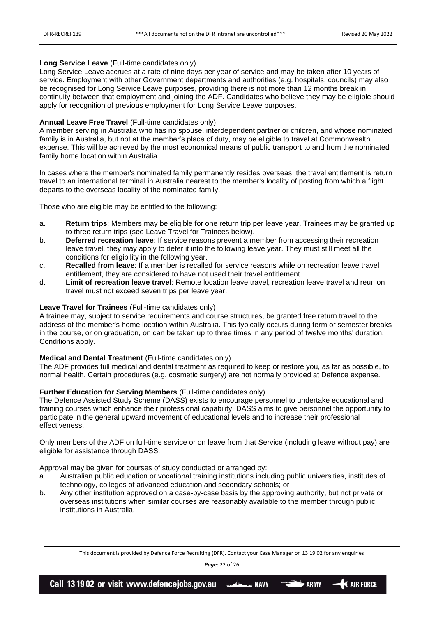# <span id="page-21-0"></span>**Long Service Leave** (Full-time candidates only)

Long Service Leave accrues at a rate of nine days per year of service and may be taken after 10 years of service. Employment with other Government departments and authorities (e.g. hospitals, councils) may also be recognised for Long Service Leave purposes, providing there is not more than 12 months break in continuity between that employment and joining the ADF. Candidates who believe they may be eligible should apply for recognition of previous employment for Long Service Leave purposes.

# <span id="page-21-1"></span>**Annual Leave Free Travel** (Full-time candidates only)

A member serving in Australia who has no spouse, interdependent partner or children, and whose nominated family is in Australia, but not at the member's place of duty, may be eligible to travel at Commonwealth expense. This will be achieved by the most economical means of public transport to and from the nominated family home location within Australia.

In cases where the member's nominated family permanently resides overseas, the travel entitlement is return travel to an international terminal in Australia nearest to the member's locality of posting from which a flight departs to the overseas locality of the nominated family.

Those who are eligible may be entitled to the following:

- a. **Return trips**: Members may be eligible for one return trip per leave year. Trainees may be granted up to three return trips (see Leave Travel for Trainees below).
- b. **Deferred recreation leave**: If service reasons prevent a member from accessing their recreation leave travel, they may apply to defer it into the following leave year. They must still meet all the conditions for eligibility in the following year.
- c. **Recalled from leave**: If a member is recalled for service reasons while on recreation leave travel entitlement, they are considered to have not used their travel entitlement.
- d. **Limit of recreation leave travel**: Remote location leave travel, recreation leave travel and reunion travel must not exceed seven trips per leave year.

# <span id="page-21-2"></span>**Leave Travel for Trainees** (Full-time candidates only)

A trainee may, subject to service requirements and course structures, be granted free return travel to the address of the member's home location within Australia. This typically occurs during term or semester breaks in the course, or on graduation, on can be taken up to three times in any period of twelve months' duration. Conditions apply.

# <span id="page-21-3"></span>**Medical and Dental Treatment** (Full-time candidates only)

The ADF provides full medical and dental treatment as required to keep or restore you, as far as possible, to normal health. Certain procedures (e.g. cosmetic surgery) are not normally provided at Defence expense.

# <span id="page-21-4"></span>**Further Education for Serving Members** (Full-time candidates only)

The Defence Assisted Study Scheme (DASS) exists to encourage personnel to undertake educational and training courses which enhance their professional capability. DASS aims to give personnel the opportunity to participate in the general upward movement of educational levels and to increase their professional effectiveness.

Only members of the ADF on full-time service or on leave from that Service (including leave without pay) are eligible for assistance through DASS.

Approval may be given for courses of study conducted or arranged by:

- a. Australian public education or vocational training institutions including public universities, institutes of technology, colleges of advanced education and secondary schools; or
- b. Any other institution approved on a case-by-case basis by the approving authority, but not private or overseas institutions when similar courses are reasonably available to the member through public institutions in Australia.

This document is provided by Defence Force Recruiting (DFR). Contact your Case Manager on 13 19 02 for any enquiries

*Page:* 22 of 26



 $\Rightarrow$  ARMY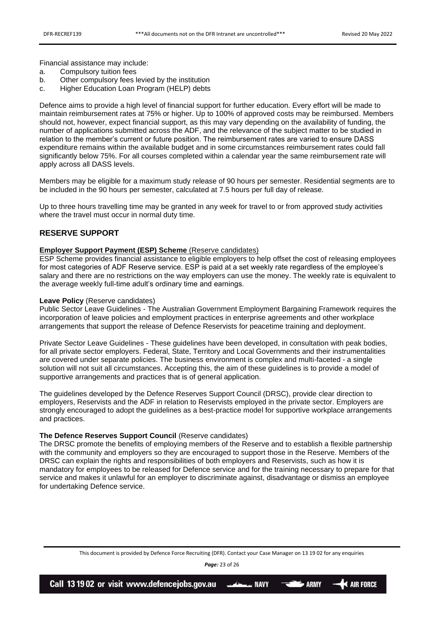Financial assistance may include:

- a. Compulsory tuition fees
- b. Other compulsory fees levied by the institution
- c. Higher Education Loan Program (HELP) debts

Defence aims to provide a high level of financial support for further education. Every effort will be made to maintain reimbursement rates at 75% or higher. Up to 100% of approved costs may be reimbursed. Members should not, however, expect financial support, as this may vary depending on the availability of funding, the number of applications submitted across the ADF, and the relevance of the subject matter to be studied in relation to the member's current or future position. The reimbursement rates are varied to ensure DASS expenditure remains within the available budget and in some circumstances reimbursement rates could fall significantly below 75%. For all courses completed within a calendar year the same reimbursement rate will apply across all DASS levels.

Members may be eligible for a maximum study release of 90 hours per semester. Residential segments are to be included in the 90 hours per semester, calculated at 7.5 hours per full day of release.

Up to three hours travelling time may be granted in any week for travel to or from approved study activities where the travel must occur in normal duty time.

# <span id="page-22-0"></span>**RESERVE SUPPORT**

#### **[Employer Support Payment \(ESP\) Scheme](https://www.defencereservessupport.gov.au/employers-of-reservists/employer-support-payment-scheme/)** (Reserve candidates)

ESP Scheme provides financial assistance to eligible employers to help offset the cost of releasing employees for most categories of ADF Reserve service. ESP is paid at a set weekly rate regardless of the employee's salary and there are no restrictions on the way employers can use the money. The weekly rate is equivalent to the average weekly full-time adult's ordinary time and earnings.

# <span id="page-22-1"></span>**Leave Policy** (Reserve candidates)

Public Sector Leave Guidelines - The Australian Government Employment Bargaining Framework requires the incorporation of leave policies and employment practices in enterprise agreements and other workplace arrangements that support the release of Defence Reservists for peacetime training and deployment.

Private Sector Leave Guidelines - These guidelines have been developed, in consultation with peak bodies, for all private sector employers. Federal, State, Territory and Local Governments and their instrumentalities are covered under separate policies. The business environment is complex and multi-faceted - a single solution will not suit all circumstances. Accepting this, the aim of these guidelines is to provide a model of supportive arrangements and practices that is of general application.

The guidelines developed by the Defence Reserves Support Council (DRSC), provide clear direction to employers, Reservists and the ADF in relation to Reservists employed in the private sector. Employers are strongly encouraged to adopt the guidelines as a best-practice model for supportive workplace arrangements and practices.

# <span id="page-22-2"></span>**The Defence Reserves Support Council** (Reserve candidates)

The DRSC promote the benefits of employing members of the Reserve and to establish a flexible partnership with the community and employers so they are encouraged to support those in the Reserve. Members of the DRSC can explain the rights and responsibilities of both employers and Reservists, such as how it is mandatory for employees to be released for Defence service and for the training necessary to prepare for that service and makes it unlawful for an employer to discriminate against, disadvantage or dismiss an employee for undertaking Defence service.

This document is provided by Defence Force Recruiting (DFR). Contact your Case Manager on 13 19 02 for any enquiries

*Page:* 23 of 26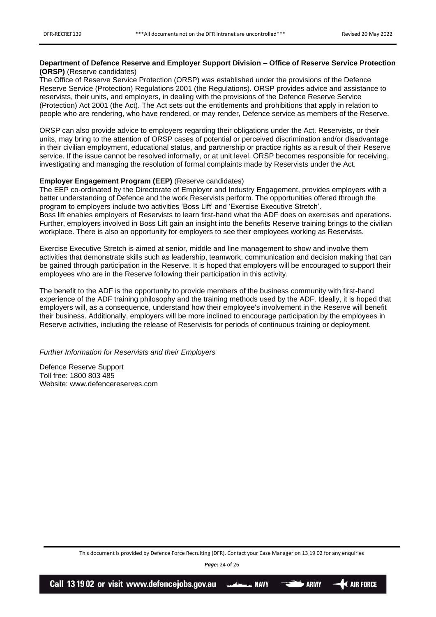# <span id="page-23-0"></span>**Department of Defence Reserve and Employer Support Division – Office of Reserve Service Protection (ORSP)** (Reserve candidates)

The Office of Reserve Service Protection (ORSP) was established under the provisions of the Defence Reserve Service (Protection) Regulations 2001 (the Regulations). ORSP provides advice and assistance to reservists, their units, and employers, in dealing with the provisions of the Defence Reserve Service (Protection) Act 2001 (the Act). The Act sets out the entitlements and prohibitions that apply in relation to people who are rendering, who have rendered, or may render, Defence service as members of the Reserve.

ORSP can also provide advice to employers regarding their obligations under the Act. Reservists, or their units, may bring to the attention of ORSP cases of potential or perceived discrimination and/or disadvantage in their civilian employment, educational status, and partnership or practice rights as a result of their Reserve service. If the issue cannot be resolved informally, or at unit level, ORSP becomes responsible for receiving, investigating and managing the resolution of formal complaints made by Reservists under the Act.

# <span id="page-23-1"></span>**Employer Engagement Program (EEP)** (Reserve candidates)

The EEP co-ordinated by the Directorate of Employer and Industry Engagement, provides employers with a better understanding of Defence and the work Reservists perform. The opportunities offered through the program to employers include two activities 'Boss Lift' and 'Exercise Executive Stretch'. Boss lift enables employers of Reservists to learn first-hand what the ADF does on exercises and operations. Further, employers involved in Boss Lift gain an insight into the benefits Reserve training brings to the civilian workplace. There is also an opportunity for employers to see their employees working as Reservists.

Exercise Executive Stretch is aimed at senior, middle and line management to show and involve them activities that demonstrate skills such as leadership, teamwork, communication and decision making that can be gained through participation in the Reserve. It is hoped that employers will be encouraged to support their employees who are in the Reserve following their participation in this activity.

The benefit to the ADF is the opportunity to provide members of the business community with first-hand experience of the ADF training philosophy and the training methods used by the ADF. Ideally, it is hoped that employers will, as a consequence, understand how their employee's involvement in the Reserve will benefit their business. Additionally, employers will be more inclined to encourage participation by the employees in Reserve activities, including the release of Reservists for periods of continuous training or deployment.

# *Further Information for Reservists and their Employers*

Defence Reserve Support Toll free: 1800 803 485 Website: [www.defencereserves.com](http://www.defencereserves.com/)

This document is provided by Defence Force Recruiting (DFR). Contact your Case Manager on 13 19 02 for any enquiries

*Page:* 24 of 26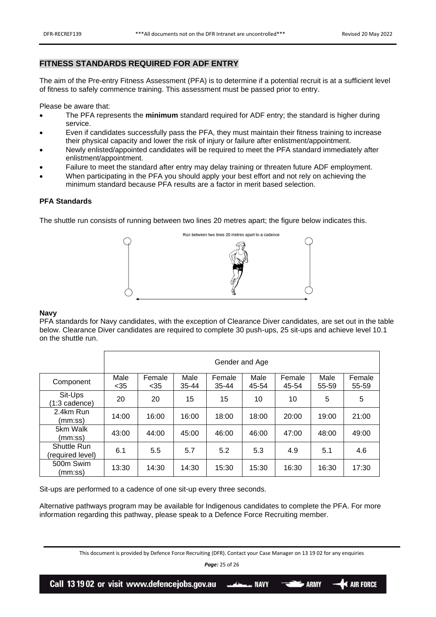# <span id="page-24-0"></span>**FITNESS STANDARDS REQUIRED FOR ADF ENTRY**

The aim of the Pre-entry Fitness Assessment (PFA) is to determine if a potential recruit is at a sufficient level of fitness to safely commence training. This assessment must be passed prior to entry.

Please be aware that:

- The PFA represents the **minimum** standard required for ADF entry; the standard is higher during service.
- Even if candidates successfully pass the PFA, they must maintain their fitness training to increase their physical capacity and lower the risk of injury or failure after enlistment/appointment.
- Newly enlisted/appointed candidates will be required to meet the PFA standard immediately after enlistment/appointment.
- Failure to meet the standard after entry may delay training or threaten future ADF employment.
- When participating in the PFA you should apply your best effort and not rely on achieving the minimum standard because PFA results are a factor in merit based selection.

## <span id="page-24-1"></span>**PFA Standards**

The shuttle run consists of running between two lines 20 metres apart; the figure below indicates this.



#### **Navy**

PFA standards for Navy candidates, with the exception of Clearance Diver candidates, are set out in the table below. Clearance Diver candidates are required to complete 30 push-ups, 25 sit-ups and achieve level 10.1 on the shuttle run.

|                                        | Gender and Age |                |               |                     |               |                 |               |                 |
|----------------------------------------|----------------|----------------|---------------|---------------------|---------------|-----------------|---------------|-----------------|
| Component                              | Male<br>$35$   | Female<br>$35$ | Male<br>35-44 | Female<br>$35 - 44$ | Male<br>45-54 | Female<br>45-54 | Male<br>55-59 | Female<br>55-59 |
| Sit-Ups<br>(1:3 cadence)               | 20             | 20             | 15            | 15                  | 10            | 10              | 5             | 5               |
| 2.4km Run<br>(mm:ss)                   | 14:00          | 16:00          | 16:00         | 18:00               | 18:00         | 20:00           | 19:00         | 21:00           |
| 5km Walk<br>(mm:ss)                    | 43:00          | 44:00          | 45:00         | 46:00               | 46:00         | 47:00           | 48:00         | 49:00           |
| <b>Shuttle Run</b><br>(required level) | 6.1            | 5.5            | 5.7           | 5.2                 | 5.3           | 4.9             | 5.1           | 4.6             |
| 500m Swim<br>(mm:ss)                   | 13:30          | 14:30          | 14:30         | 15:30               | 15:30         | 16:30           | 16:30         | 17:30           |

Sit-ups are performed to a cadence of one sit-up every three seconds.

Alternative pathways program may be available for Indigenous candidates to complete the PFA. For more information regarding this pathway, please speak to a Defence Force Recruiting member.

This document is provided by Defence Force Recruiting (DFR). Contact your Case Manager on 13 19 02 for any enquiries



Call 13 19 02 or visit www.defencejobs.gov.au \_\_\_\_\_\_\_\_ NAVY

**ARMY**